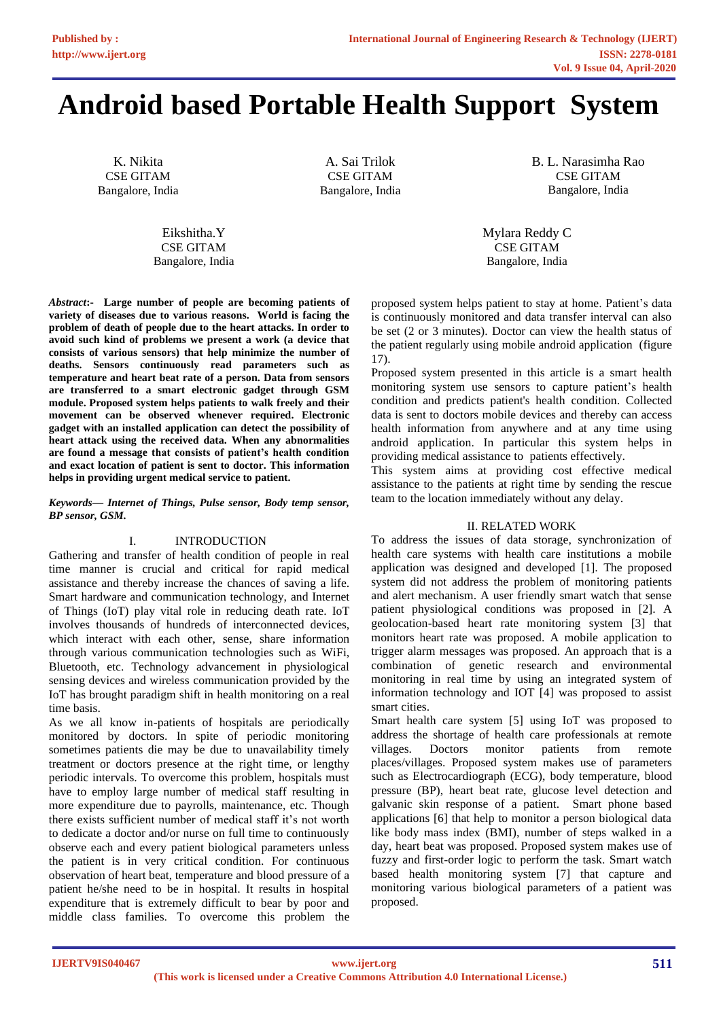# **Android based Portable Health Support System**

K. Nikita CSE GITAM Bangalore, India

> Eikshitha.Y CSE GITAM Bangalore, India

*Abstract***:- Large number of people are becoming patients of variety of diseases due to various reasons. World is facing the problem of death of people due to the heart attacks. In order to avoid such kind of problems we present a work (a device that consists of various sensors) that help minimize the number of deaths. Sensors continuously read parameters such as temperature and heart beat rate of a person. Data from sensors are transferred to a smart electronic gadget through GSM module. Proposed system helps patients to walk freely and their movement can be observed whenever required. Electronic gadget with an installed application can detect the possibility of heart attack using the received data. When any abnormalities are found a message that consists of patient's health condition and exact location of patient is sent to doctor. This information helps in providing urgent medical service to patient.**

#### *Keywords— Internet of Things, Pulse sensor, Body temp sensor, BP sensor, GSM.*

## I. INTRODUCTION

Gathering and transfer of health condition of people in real time manner is crucial and critical for rapid medical assistance and thereby increase the chances of saving a life. Smart hardware and communication technology, and Internet of Things (IoT) play vital role in reducing death rate. IoT involves thousands of hundreds of interconnected devices, which interact with each other, sense, share information through various communication technologies such as WiFi, Bluetooth, etc. Technology advancement in physiological sensing devices and wireless communication provided by the IoT has brought paradigm shift in health monitoring on a real time basis.

As we all know in-patients of hospitals are periodically monitored by doctors. In spite of periodic monitoring sometimes patients die may be due to unavailability timely treatment or doctors presence at the right time, or lengthy periodic intervals. To overcome this problem, hospitals must have to employ large number of medical staff resulting in more expenditure due to payrolls, maintenance, etc. Though there exists sufficient number of medical staff it's not worth to dedicate a doctor and/or nurse on full time to continuously observe each and every patient biological parameters unless the patient is in very critical condition. For continuous observation of heart beat, temperature and blood pressure of a patient he/she need to be in hospital. It results in hospital expenditure that is extremely difficult to bear by poor and middle class families. To overcome this problem the

A. Sai Trilok CSE GITAM Bangalore, India B. L. Narasimha Rao CSE GITAM Bangalore, India

Mylara Reddy C CSE GITAM Bangalore, India

proposed system helps patient to stay at home. Patient's data is continuously monitored and data transfer interval can also be set (2 or 3 minutes). Doctor can view the health status of the patient regularly using mobile android application (figure 17).

Proposed system presented in this article is a smart health monitoring system use sensors to capture patient's health condition and predicts patient's health condition. Collected data is sent to doctors mobile devices and thereby can access health information from anywhere and at any time using android application. In particular this system helps in providing medical assistance to patients effectively.

This system aims at providing cost effective medical assistance to the patients at right time by sending the rescue team to the location immediately without any delay.

## II. RELATED WORK

To address the issues of data storage, synchronization of health care systems with health care institutions a mobile application was designed and developed [1]. The proposed system did not address the problem of monitoring patients and alert mechanism. A user friendly smart watch that sense patient physiological conditions was proposed in [2]. A geolocation-based heart rate monitoring system [3] that monitors heart rate was proposed. A mobile application to trigger alarm messages was proposed. An approach that is a combination of genetic research and environmental monitoring in real time by using an integrated system of information technology and IOT [4] was proposed to assist smart cities.

Smart health care system [5] using IoT was proposed to address the shortage of health care professionals at remote villages. Doctors monitor patients from remote places/villages. Proposed system makes use of parameters such as Electrocardiograph (ECG), body temperature, blood pressure (BP), heart beat rate, glucose level detection and galvanic skin response of a patient. Smart phone based applications [6] that help to monitor a person biological data like body mass index (BMI), number of steps walked in a day, heart beat was proposed. Proposed system makes use of fuzzy and first-order logic to perform the task. Smart watch based health monitoring system [7] that capture and monitoring various biological parameters of a patient was proposed.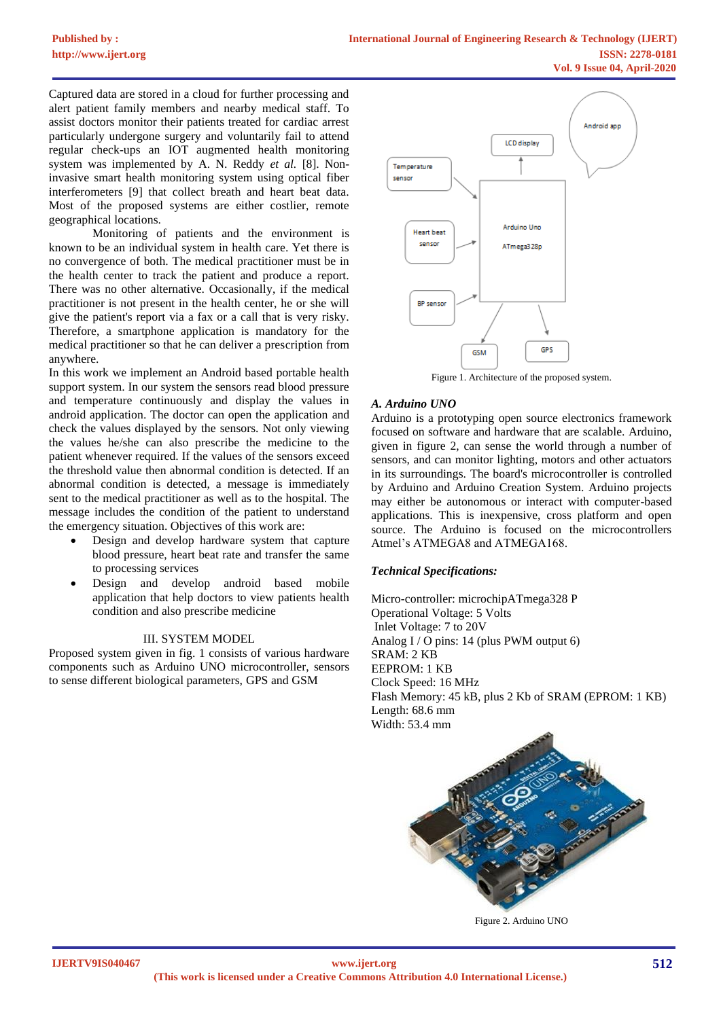Captured data are stored in a cloud for further processing and alert patient family members and nearby medical staff. To assist doctors monitor their patients treated for cardiac arrest particularly undergone surgery and voluntarily fail to attend regular check-ups an IOT augmented health monitoring system was implemented by A. N. Reddy *et al.* [8]. Noninvasive smart health monitoring system using optical fiber interferometers [9] that collect breath and heart beat data. Most of the proposed systems are either costlier, remote geographical locations.

Monitoring of patients and the environment is known to be an individual system in health care. Yet there is no convergence of both. The medical practitioner must be in the health center to track the patient and produce a report. There was no other alternative. Occasionally, if the medical practitioner is not present in the health center, he or she will give the patient's report via a fax or a call that is very risky. Therefore, a smartphone application is mandatory for the medical practitioner so that he can deliver a prescription from anywhere.

In this work we implement an Android based portable health support system. In our system the sensors read blood pressure and temperature continuously and display the values in android application. The doctor can open the application and check the values displayed by the sensors. Not only viewing the values he/she can also prescribe the medicine to the patient whenever required. If the values of the sensors exceed the threshold value then abnormal condition is detected. If an abnormal condition is detected, a message is immediately sent to the medical practitioner as well as to the hospital. The message includes the condition of the patient to understand the emergency situation. Objectives of this work are:

- Design and develop hardware system that capture blood pressure, heart beat rate and transfer the same to processing services
- Design and develop android based mobile application that help doctors to view patients health condition and also prescribe medicine

## III. SYSTEM MODEL

Proposed system given in fig. 1 consists of various hardware components such as Arduino UNO microcontroller, sensors to sense different biological parameters, GPS and GSM



Figure 1. Architecture of the proposed system.

## *A. Arduino UNO*

Arduino is a prototyping open source electronics framework focused on software and hardware that are scalable. Arduino, given in figure 2, can sense the world through a number of sensors, and can monitor lighting, motors and other actuators in its surroundings. The board's microcontroller is controlled by Arduino and Arduino Creation System. Arduino projects may either be autonomous or interact with computer-based applications. This is inexpensive, cross platform and open source. The Arduino is focused on the microcontrollers Atmel's ATMEGA8 and ATMEGA168.

## *Technical Specifications:*

Micro-controller: microchipATmega328 P Operational Voltage: 5 Volts Inlet Voltage: 7 to 20V Analog I / O pins: 14 (plus PWM output 6) SRAM: 2 KB EEPROM: 1 KB Clock Speed: 16 MHz Flash Memory: 45 kB, plus 2 Kb of SRAM (EPROM: 1 KB) Length: 68.6 mm Width: 53.4 mm



Figure 2. Arduino UNO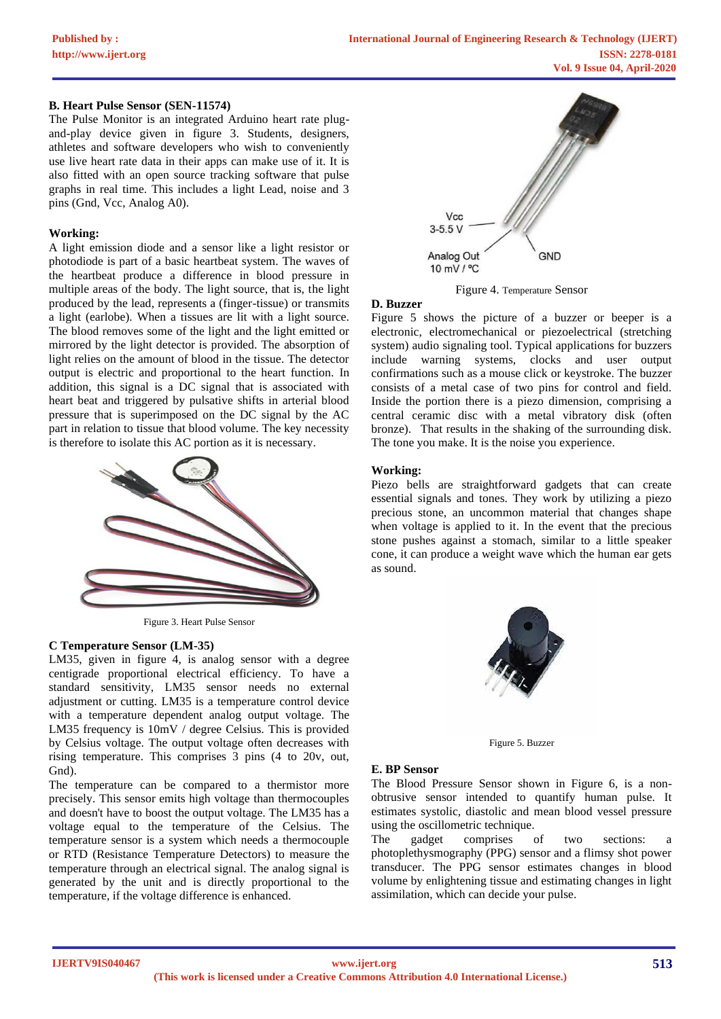## **B. Heart Pulse Sensor (SEN-11574)**

The Pulse Monitor is an integrated Arduino heart rate plugand-play device given in figure 3. Students, designers, athletes and software developers who wish to conveniently use live heart rate data in their apps can make use of it. It is also fitted with an open source tracking software that pulse graphs in real time. This includes a light Lead, noise and 3 pins (Gnd, Vcc, Analog A0).

#### **Working:**

A light emission diode and a sensor like a light resistor or photodiode is part of a basic heartbeat system. The waves of the heartbeat produce a difference in blood pressure in multiple areas of the body. The light source, that is, the light produced by the lead, represents a (finger-tissue) or transmits a light (earlobe). When a tissues are lit with a light source. The blood removes some of the light and the light emitted or mirrored by the light detector is provided. The absorption of light relies on the amount of blood in the tissue. The detector output is electric and proportional to the heart function. In addition, this signal is a DC signal that is associated with heart beat and triggered by pulsative shifts in arterial blood pressure that is superimposed on the DC signal by the AC part in relation to tissue that blood volume. The key necessity is therefore to isolate this AC portion as it is necessary.



Figure 3. Heart Pulse Sensor

## **C Temperature Sensor (LM-35)**

LM35, given in figure 4, is analog sensor with a degree centigrade proportional electrical efficiency. To have a standard sensitivity, LM35 sensor needs no external adjustment or cutting. LM35 is a temperature control device with a temperature dependent analog output voltage. The LM35 frequency is 10mV / degree Celsius. This is provided by Celsius voltage. The output voltage often decreases with rising temperature. This comprises 3 pins (4 to 20v, out, Gnd).

The temperature can be compared to a thermistor more precisely. This sensor emits high voltage than thermocouples and doesn't have to boost the output voltage. The LM35 has a voltage equal to the temperature of the Celsius. The temperature sensor is a system which needs a thermocouple or RTD (Resistance Temperature Detectors) to measure the temperature through an electrical signal. The analog signal is generated by the unit and is directly proportional to the temperature, if the voltage difference is enhanced.



Figure 4. Temperature Sensor

#### **D. Buzzer**

Figure 5 shows the picture of a buzzer or beeper is a electronic, electromechanical or piezoelectrical (stretching system) audio signaling tool. Typical applications for buzzers include warning systems, clocks and user output confirmations such as a mouse click or keystroke. The buzzer consists of a metal case of two pins for control and field. Inside the portion there is a piezo dimension, comprising a central ceramic disc with a metal vibratory disk (often bronze). That results in the shaking of the surrounding disk. The tone you make. It is the noise you experience.

#### **Working:**

Piezo bells are straightforward gadgets that can create essential signals and tones. They work by utilizing a piezo precious stone, an uncommon material that changes shape when voltage is applied to it. In the event that the precious stone pushes against a stomach, similar to a little speaker cone, it can produce a weight wave which the human ear gets as sound.



Figure 5. Buzzer

## **E. BP Sensor**

The Blood Pressure Sensor shown in Figure 6, is a nonobtrusive sensor intended to quantify human pulse. It estimates systolic, diastolic and mean blood vessel pressure using the oscillometric technique.

The gadget comprises of two sections: photoplethysmography (PPG) sensor and a flimsy shot power transducer. The PPG sensor estimates changes in blood volume by enlightening tissue and estimating changes in light assimilation, which can decide your pulse.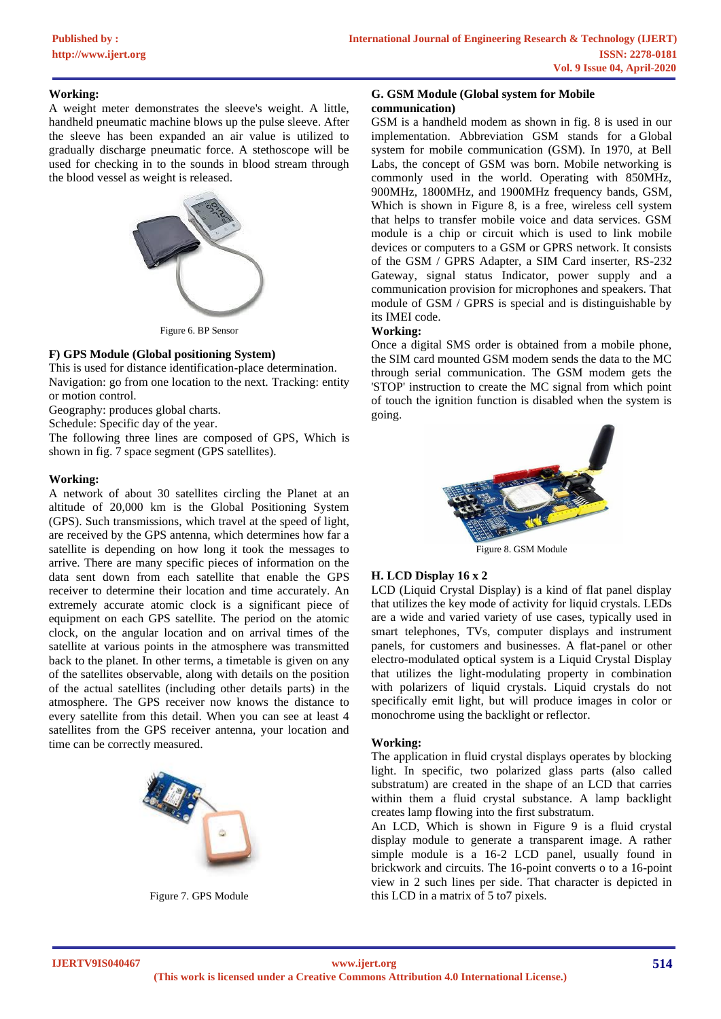## **Working:**

A weight meter demonstrates the sleeve's weight. A little, handheld pneumatic machine blows up the pulse sleeve. After the sleeve has been expanded an air value is utilized to gradually discharge pneumatic force. A stethoscope will be used for checking in to the sounds in blood stream through the blood vessel as weight is released.



Figure 6. BP Sensor

## **F) GPS Module (Global positioning System)**

This is used for distance identification-place determination. Navigation: go from one location to the next. Tracking: entity or motion control.

Geography: produces global charts.

Schedule: Specific day of the year.

The following three lines are composed of GPS, Which is shown in fig. 7 space segment (GPS satellites).

## **Working:**

A network of about 30 satellites circling the Planet at an altitude of 20,000 km is the Global Positioning System (GPS). Such transmissions, which travel at the speed of light, are received by the GPS antenna, which determines how far a satellite is depending on how long it took the messages to arrive. There are many specific pieces of information on the data sent down from each satellite that enable the GPS receiver to determine their location and time accurately. An extremely accurate atomic clock is a significant piece of equipment on each GPS satellite. The period on the atomic clock, on the angular location and on arrival times of the satellite at various points in the atmosphere was transmitted back to the planet. In other terms, a timetable is given on any of the satellites observable, along with details on the position of the actual satellites (including other details parts) in the atmosphere. The GPS receiver now knows the distance to every satellite from this detail. When you can see at least 4 satellites from the GPS receiver antenna, your location and time can be correctly measured.



Figure 7. GPS Module

## **G. GSM Module (Global system for Mobile communication)**

GSM is a handheld modem as shown in fig. 8 is used in our implementation. Abbreviation GSM stands for a Global system for mobile communication (GSM). In 1970, at Bell Labs, the concept of GSM was born. Mobile networking is commonly used in the world. Operating with 850MHz, 900MHz, 1800MHz, and 1900MHz frequency bands, GSM, Which is shown in Figure 8, is a free, wireless cell system that helps to transfer mobile voice and data services. GSM module is a chip or circuit which is used to link mobile devices or computers to a GSM or GPRS network. It consists of the GSM / GPRS Adapter, a SIM Card inserter, RS-232 Gateway, signal status Indicator, power supply and a communication provision for microphones and speakers. That module of GSM / GPRS is special and is distinguishable by its IMEI code.

## **Working:**

Once a digital SMS order is obtained from a mobile phone, the SIM card mounted GSM modem sends the data to the MC through serial communication. The GSM modem gets the 'STOP' instruction to create the MC signal from which point of touch the ignition function is disabled when the system is going.



Figure 8. GSM Module

## **H. LCD Display 16 x 2**

LCD (Liquid Crystal Display) is a kind of flat panel display that utilizes the key mode of activity for liquid crystals. LEDs are a wide and varied variety of use cases, typically used in smart telephones, TVs, computer displays and instrument panels, for customers and businesses. A flat-panel or other electro-modulated optical system is a Liquid Crystal Display that utilizes the light-modulating property in combination with polarizers of liquid crystals. Liquid crystals do not specifically emit light, but will produce images in color or monochrome using the backlight or reflector.

## **Working:**

The application in fluid crystal displays operates by blocking light. In specific, two polarized glass parts (also called substratum) are created in the shape of an LCD that carries within them a fluid crystal substance. A lamp backlight creates lamp flowing into the first substratum.

An LCD, Which is shown in Figure 9 is a fluid crystal display module to generate a transparent image. A rather simple module is a 16-2 LCD panel, usually found in brickwork and circuits. The 16-point converts o to a 16-point view in 2 such lines per side. That character is depicted in this LCD in a matrix of 5 to7 pixels.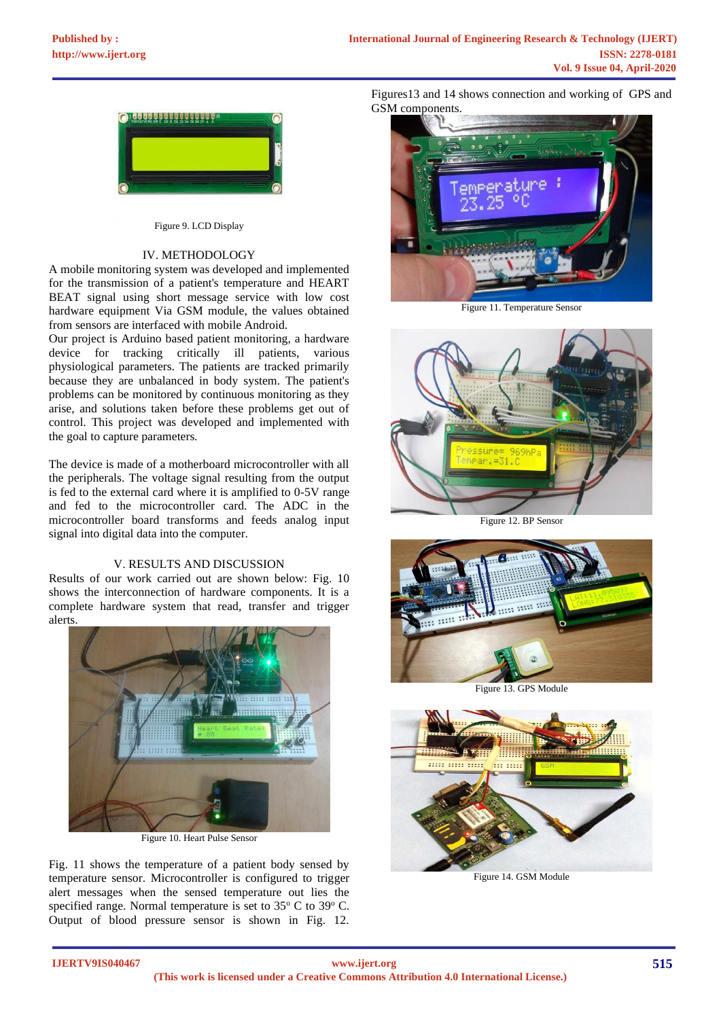

Figure 9. LCD Display

## IV. METHODOLOGY

A mobile monitoring system was developed and implemented for the transmission of a patient's temperature and HEART BEAT signal using short message service with low cost hardware equipment Via GSM module, the values obtained from sensors are interfaced with mobile Android.

Our project is Arduino based patient monitoring, a hardware device for tracking critically ill patients, various physiological parameters. The patients are tracked primarily because they are unbalanced in body system. The patient's problems can be monitored by continuous monitoring as they arise, and solutions taken before these problems get out of control. This project was developed and implemented with the goal to capture parameters.

The device is made of a motherboard microcontroller with all the peripherals. The voltage signal resulting from the output is fed to the external card where it is amplified to 0-5V range and fed to the microcontroller card. The ADC in the microcontroller board transforms and feeds analog input signal into digital data into the computer.

## V. RESULTS AND DISCUSSION

Results of our work carried out are shown below: Fig. 10 shows the interconnection of hardware components. It is a complete hardware system that read, transfer and trigger alerts.



Figure 10. Heart Pulse Sensor

Fig. 11 shows the temperature of a patient body sensed by temperature sensor. Microcontroller is configured to trigger alert messages when the sensed temperature out lies the specified range. Normal temperature is set to  $35^{\circ}$  C to  $39^{\circ}$  C. Output of blood pressure sensor is shown in Fig. 12.

Figures13 and 14 shows connection and working of GPS and GSM components.



Figure 11. Temperature Sensor



Figure 12. BP Sensor



Figure 13. GPS Module



Figure 14. GSM Module